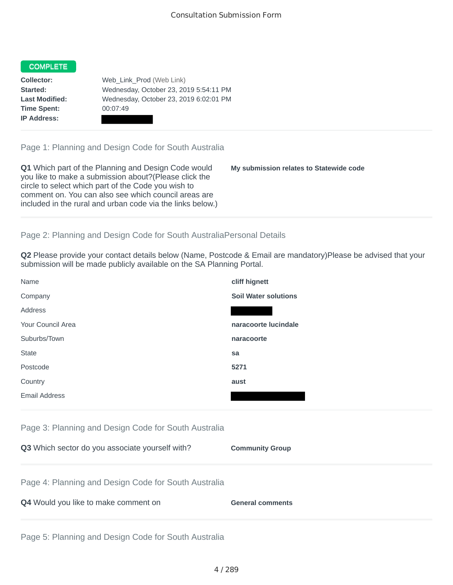## COMPLETE

**Time Spent:** 00:07:49 **IP Address:**

**Collector:** Web\_Link\_Prod (Web Link) **Started:** Wednesday, October 23, 2019 5:54:11 PM **Last Modified:** Wednesday, October 23, 2019 6:02:01 PM

Page 1: Planning and Design Code for South Australia

**Q1** Which part of the Planning and Design Code would you like to make a submission about?(Please click the circle to select which part of the Code you wish to comment on. You can also see which council areas are included in the rural and urban code via the links below.)

**My submission relates to Statewide code**

## Page 2: Planning and Design Code for South AustraliaPersonal Details

**Q2** Please provide your contact details below (Name, Postcode & Email are mandatory)Please be advised that your submission will be made publicly available on the SA Planning Portal.

| Name              | cliff hignett               |
|-------------------|-----------------------------|
| Company           | <b>Soil Water solutions</b> |
| Address           |                             |
| Your Council Area | naracoorte lucindale        |
| Suburbs/Town      | naracoorte                  |
| <b>State</b>      | sa                          |
| Postcode          | 5271                        |
| Country           | aust                        |
| Email Address     |                             |

|  |  |  |  | Page 3: Planning and Design Code for South Australia |
|--|--|--|--|------------------------------------------------------|
|  |  |  |  |                                                      |

| Q3 Which sector do you associate yourself with?      | <b>Community Group</b>  |
|------------------------------------------------------|-------------------------|
| Page 4: Planning and Design Code for South Australia |                         |
| Q4 Would you like to make comment on                 | <b>General comments</b> |
|                                                      |                         |

Page 5: Planning and Design Code for South Australia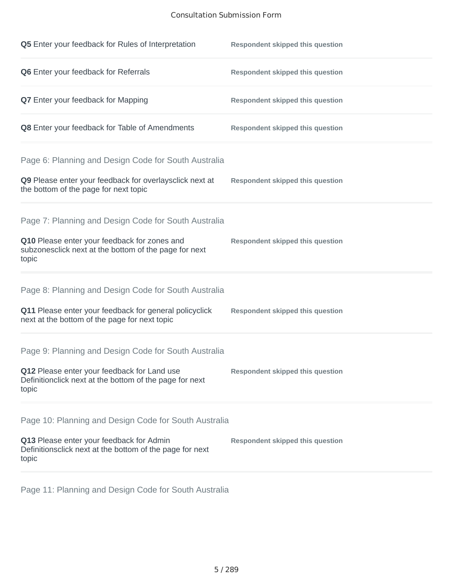## Consultation Submission Form

| Q5 Enter your feedback for Rules of Interpretation                                                              | <b>Respondent skipped this question</b> |
|-----------------------------------------------------------------------------------------------------------------|-----------------------------------------|
| Q6 Enter your feedback for Referrals                                                                            | <b>Respondent skipped this question</b> |
| <b>Q7</b> Enter your feedback for Mapping                                                                       | <b>Respondent skipped this question</b> |
| Q8 Enter your feedback for Table of Amendments                                                                  | <b>Respondent skipped this question</b> |
| Page 6: Planning and Design Code for South Australia                                                            |                                         |
| Q9 Please enter your feedback for overlaysclick next at<br>the bottom of the page for next topic                | <b>Respondent skipped this question</b> |
| Page 7: Planning and Design Code for South Australia                                                            |                                         |
| Q10 Please enter your feedback for zones and<br>subzonesclick next at the bottom of the page for next<br>topic  | <b>Respondent skipped this question</b> |
| Page 8: Planning and Design Code for South Australia                                                            |                                         |
| Q11 Please enter your feedback for general policyclick<br>next at the bottom of the page for next topic         | <b>Respondent skipped this question</b> |
| Page 9: Planning and Design Code for South Australia                                                            |                                         |
| Q12 Please enter your feedback for Land use<br>Definitionclick next at the bottom of the page for next<br>topic | <b>Respondent skipped this question</b> |
| Page 10: Planning and Design Code for South Australia                                                           |                                         |
| Q13 Please enter your feedback for Admin<br>Definitionsclick next at the bottom of the page for next<br>topic   | <b>Respondent skipped this question</b> |

Page 11: Planning and Design Code for South Australia